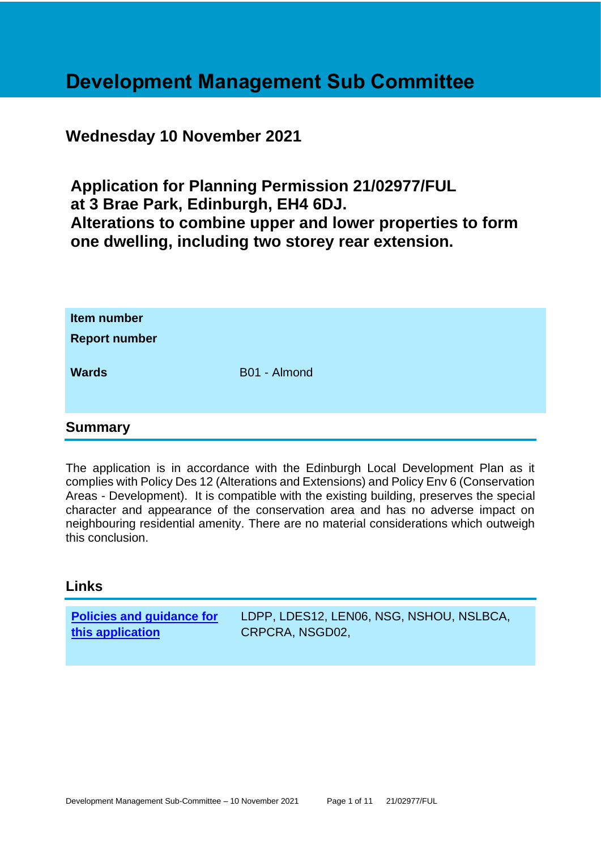# **Development Management Sub Committee**

# **Wednesday 10 November 2021**

**Application for Planning Permission 21/02977/FUL at 3 Brae Park, Edinburgh, EH4 6DJ. Alterations to combine upper and lower properties to form one dwelling, including two storey rear extension.**

| Item number<br><b>Report number</b> |              |
|-------------------------------------|--------------|
| <b>Wards</b>                        | B01 - Almond |
| <b>Summary</b>                      |              |

# The application is in accordance with the Edinburgh Local Development Plan as it complies with Policy Des 12 (Alterations and Extensions) and Policy Env 6 (Conservation Areas - Development). It is compatible with the existing building, preserves the special character and appearance of the conservation area and has no adverse impact on neighbouring residential amenity. There are no material considerations which outweigh this conclusion.

# **Links**

| <b>Policies and guidance for</b> | LDPP, LDES12, LEN06, NSG, NSHOU, NSLBCA, |
|----------------------------------|------------------------------------------|
| this application                 | CRPCRA, NSGD02,                          |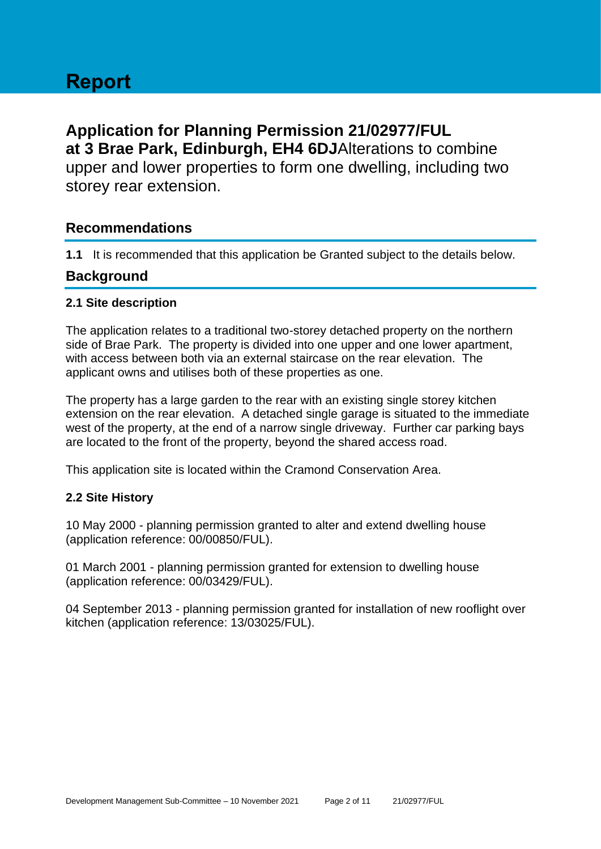# **Application for Planning Permission 21/02977/FUL at 3 Brae Park, Edinburgh, EH4 6DJ**Alterations to combine upper and lower properties to form one dwelling, including two storey rear extension.

# **Recommendations**

**1.1** It is recommended that this application be Granted subject to the details below.

# **Background**

# **2.1 Site description**

The application relates to a traditional two-storey detached property on the northern side of Brae Park. The property is divided into one upper and one lower apartment, with access between both via an external staircase on the rear elevation. The applicant owns and utilises both of these properties as one.

The property has a large garden to the rear with an existing single storey kitchen extension on the rear elevation. A detached single garage is situated to the immediate west of the property, at the end of a narrow single driveway. Further car parking bays are located to the front of the property, beyond the shared access road.

This application site is located within the Cramond Conservation Area.

# **2.2 Site History**

10 May 2000 - planning permission granted to alter and extend dwelling house (application reference: 00/00850/FUL).

01 March 2001 - planning permission granted for extension to dwelling house (application reference: 00/03429/FUL).

04 September 2013 - planning permission granted for installation of new rooflight over kitchen (application reference: 13/03025/FUL).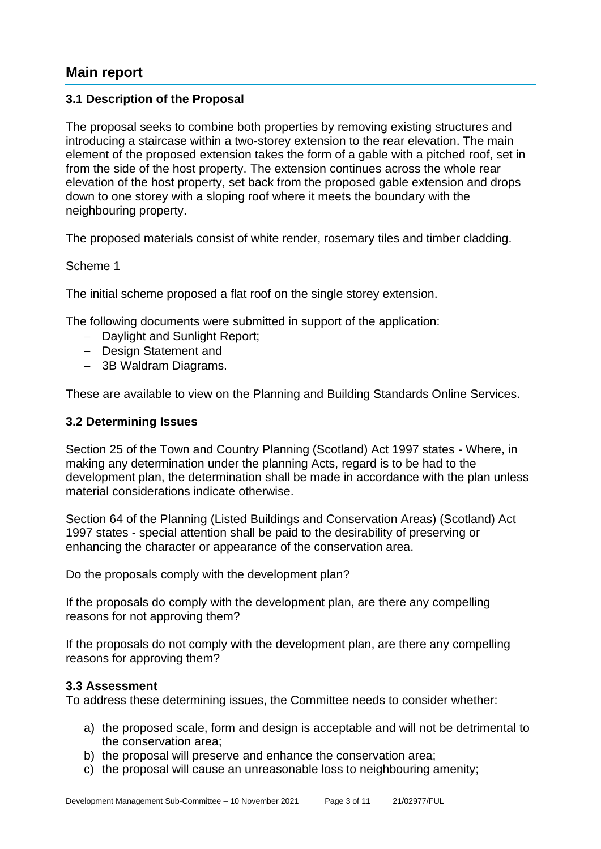# **Main report**

## **3.1 Description of the Proposal**

The proposal seeks to combine both properties by removing existing structures and introducing a staircase within a two-storey extension to the rear elevation. The main element of the proposed extension takes the form of a gable with a pitched roof, set in from the side of the host property. The extension continues across the whole rear elevation of the host property, set back from the proposed gable extension and drops down to one storey with a sloping roof where it meets the boundary with the neighbouring property.

The proposed materials consist of white render, rosemary tiles and timber cladding.

#### Scheme 1

The initial scheme proposed a flat roof on the single storey extension.

The following documents were submitted in support of the application:

- − Daylight and Sunlight Report;
- − Design Statement and
- − 3B Waldram Diagrams.

These are available to view on the Planning and Building Standards Online Services.

#### **3.2 Determining Issues**

Section 25 of the Town and Country Planning (Scotland) Act 1997 states - Where, in making any determination under the planning Acts, regard is to be had to the development plan, the determination shall be made in accordance with the plan unless material considerations indicate otherwise.

Section 64 of the Planning (Listed Buildings and Conservation Areas) (Scotland) Act 1997 states - special attention shall be paid to the desirability of preserving or enhancing the character or appearance of the conservation area.

Do the proposals comply with the development plan?

If the proposals do comply with the development plan, are there any compelling reasons for not approving them?

If the proposals do not comply with the development plan, are there any compelling reasons for approving them?

#### **3.3 Assessment**

To address these determining issues, the Committee needs to consider whether:

- a) the proposed scale, form and design is acceptable and will not be detrimental to the conservation area;
- b) the proposal will preserve and enhance the conservation area;
- c) the proposal will cause an unreasonable loss to neighbouring amenity;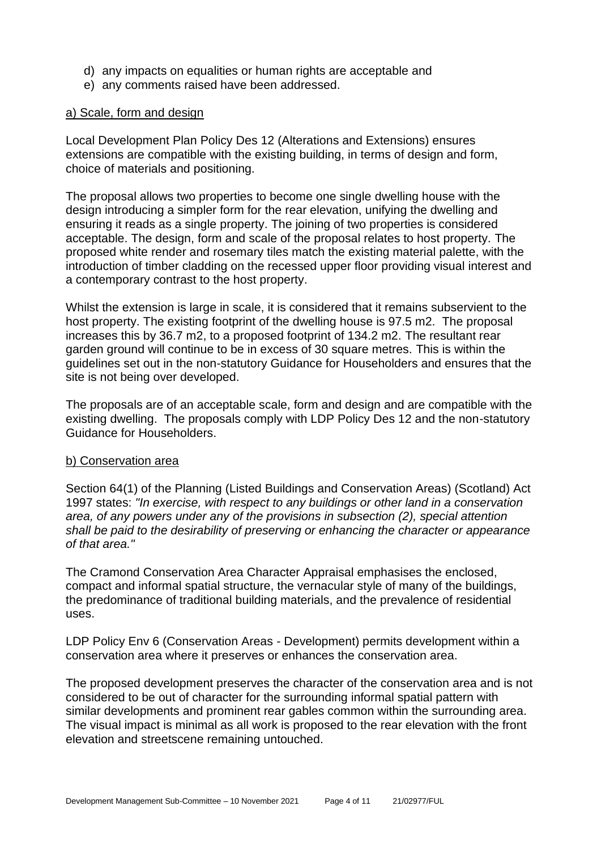- d) any impacts on equalities or human rights are acceptable and
- e) any comments raised have been addressed.

#### a) Scale, form and design

Local Development Plan Policy Des 12 (Alterations and Extensions) ensures extensions are compatible with the existing building, in terms of design and form, choice of materials and positioning.

The proposal allows two properties to become one single dwelling house with the design introducing a simpler form for the rear elevation, unifying the dwelling and ensuring it reads as a single property. The joining of two properties is considered acceptable. The design, form and scale of the proposal relates to host property. The proposed white render and rosemary tiles match the existing material palette, with the introduction of timber cladding on the recessed upper floor providing visual interest and a contemporary contrast to the host property.

Whilst the extension is large in scale, it is considered that it remains subservient to the host property. The existing footprint of the dwelling house is 97.5 m2. The proposal increases this by 36.7 m2, to a proposed footprint of 134.2 m2. The resultant rear garden ground will continue to be in excess of 30 square metres. This is within the guidelines set out in the non-statutory Guidance for Householders and ensures that the site is not being over developed.

The proposals are of an acceptable scale, form and design and are compatible with the existing dwelling. The proposals comply with LDP Policy Des 12 and the non-statutory Guidance for Householders.

#### b) Conservation area

Section 64(1) of the Planning (Listed Buildings and Conservation Areas) (Scotland) Act 1997 states: *"In exercise, with respect to any buildings or other land in a conservation area, of any powers under any of the provisions in subsection (2), special attention shall be paid to the desirability of preserving or enhancing the character or appearance of that area."*

The Cramond Conservation Area Character Appraisal emphasises the enclosed, compact and informal spatial structure, the vernacular style of many of the buildings, the predominance of traditional building materials, and the prevalence of residential uses.

LDP Policy Env 6 (Conservation Areas - Development) permits development within a conservation area where it preserves or enhances the conservation area.

The proposed development preserves the character of the conservation area and is not considered to be out of character for the surrounding informal spatial pattern with similar developments and prominent rear gables common within the surrounding area. The visual impact is minimal as all work is proposed to the rear elevation with the front elevation and streetscene remaining untouched.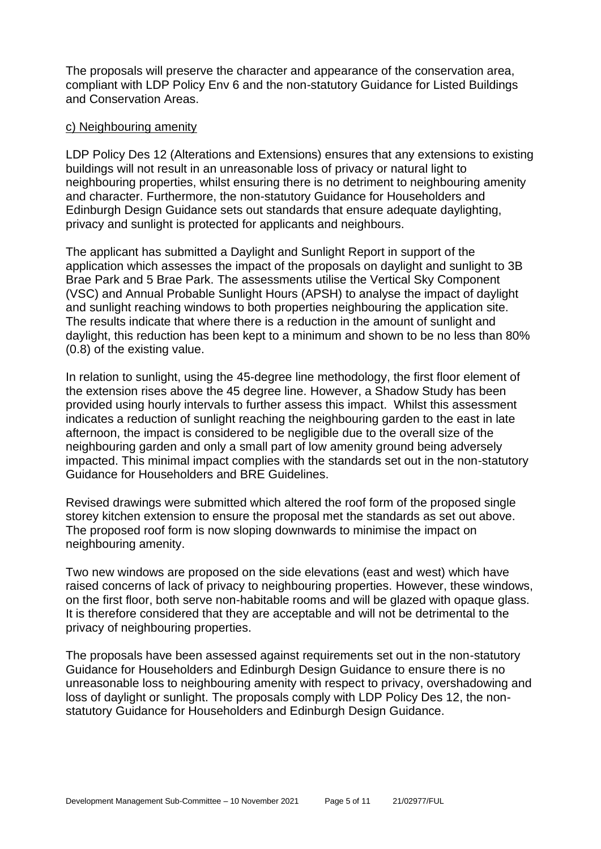The proposals will preserve the character and appearance of the conservation area, compliant with LDP Policy Env 6 and the non-statutory Guidance for Listed Buildings and Conservation Areas.

#### c) Neighbouring amenity

LDP Policy Des 12 (Alterations and Extensions) ensures that any extensions to existing buildings will not result in an unreasonable loss of privacy or natural light to neighbouring properties, whilst ensuring there is no detriment to neighbouring amenity and character. Furthermore, the non-statutory Guidance for Householders and Edinburgh Design Guidance sets out standards that ensure adequate daylighting, privacy and sunlight is protected for applicants and neighbours.

The applicant has submitted a Daylight and Sunlight Report in support of the application which assesses the impact of the proposals on daylight and sunlight to 3B Brae Park and 5 Brae Park. The assessments utilise the Vertical Sky Component (VSC) and Annual Probable Sunlight Hours (APSH) to analyse the impact of daylight and sunlight reaching windows to both properties neighbouring the application site. The results indicate that where there is a reduction in the amount of sunlight and daylight, this reduction has been kept to a minimum and shown to be no less than 80% (0.8) of the existing value.

In relation to sunlight, using the 45-degree line methodology, the first floor element of the extension rises above the 45 degree line. However, a Shadow Study has been provided using hourly intervals to further assess this impact. Whilst this assessment indicates a reduction of sunlight reaching the neighbouring garden to the east in late afternoon, the impact is considered to be negligible due to the overall size of the neighbouring garden and only a small part of low amenity ground being adversely impacted. This minimal impact complies with the standards set out in the non-statutory Guidance for Householders and BRE Guidelines.

Revised drawings were submitted which altered the roof form of the proposed single storey kitchen extension to ensure the proposal met the standards as set out above. The proposed roof form is now sloping downwards to minimise the impact on neighbouring amenity.

Two new windows are proposed on the side elevations (east and west) which have raised concerns of lack of privacy to neighbouring properties. However, these windows, on the first floor, both serve non-habitable rooms and will be glazed with opaque glass. It is therefore considered that they are acceptable and will not be detrimental to the privacy of neighbouring properties.

The proposals have been assessed against requirements set out in the non-statutory Guidance for Householders and Edinburgh Design Guidance to ensure there is no unreasonable loss to neighbouring amenity with respect to privacy, overshadowing and loss of daylight or sunlight. The proposals comply with LDP Policy Des 12, the nonstatutory Guidance for Householders and Edinburgh Design Guidance.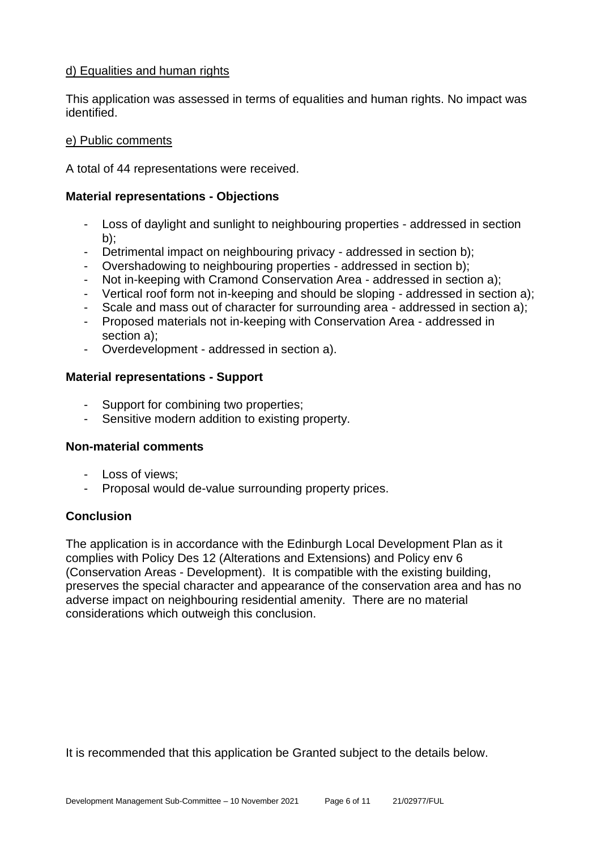## d) Equalities and human rights

This application was assessed in terms of equalities and human rights. No impact was identified.

#### e) Public comments

A total of 44 representations were received.

#### **Material representations - Objections**

- Loss of daylight and sunlight to neighbouring properties addressed in section  $b$ ):
- Detrimental impact on neighbouring privacy addressed in section b);
- Overshadowing to neighbouring properties addressed in section b);
- Not in-keeping with Cramond Conservation Area addressed in section a);
- Vertical roof form not in-keeping and should be sloping addressed in section a);
- Scale and mass out of character for surrounding area addressed in section a);
- Proposed materials not in-keeping with Conservation Area addressed in section a);
- Overdevelopment addressed in section a).

#### **Material representations - Support**

- Support for combining two properties;
- Sensitive modern addition to existing property.

## **Non-material comments**

- Loss of views;
- Proposal would de-value surrounding property prices.

## **Conclusion**

The application is in accordance with the Edinburgh Local Development Plan as it complies with Policy Des 12 (Alterations and Extensions) and Policy env 6 (Conservation Areas - Development). It is compatible with the existing building, preserves the special character and appearance of the conservation area and has no adverse impact on neighbouring residential amenity. There are no material considerations which outweigh this conclusion.

It is recommended that this application be Granted subject to the details below.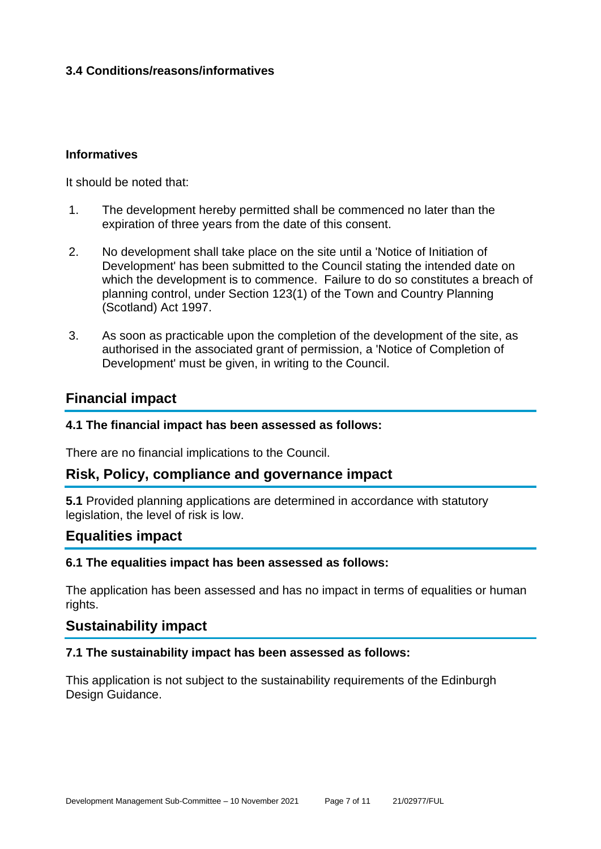# **3.4 Conditions/reasons/informatives**

#### **Informatives**

It should be noted that:

- 1. The development hereby permitted shall be commenced no later than the expiration of three years from the date of this consent.
- 2. No development shall take place on the site until a 'Notice of Initiation of Development' has been submitted to the Council stating the intended date on which the development is to commence. Failure to do so constitutes a breach of planning control, under Section 123(1) of the Town and Country Planning (Scotland) Act 1997.
- 3. As soon as practicable upon the completion of the development of the site, as authorised in the associated grant of permission, a 'Notice of Completion of Development' must be given, in writing to the Council.

# **Financial impact**

#### **4.1 The financial impact has been assessed as follows:**

There are no financial implications to the Council.

## **Risk, Policy, compliance and governance impact**

**5.1** Provided planning applications are determined in accordance with statutory legislation, the level of risk is low.

# **Equalities impact**

#### **6.1 The equalities impact has been assessed as follows:**

The application has been assessed and has no impact in terms of equalities or human rights.

# **Sustainability impact**

#### **7.1 The sustainability impact has been assessed as follows:**

This application is not subject to the sustainability requirements of the Edinburgh Design Guidance.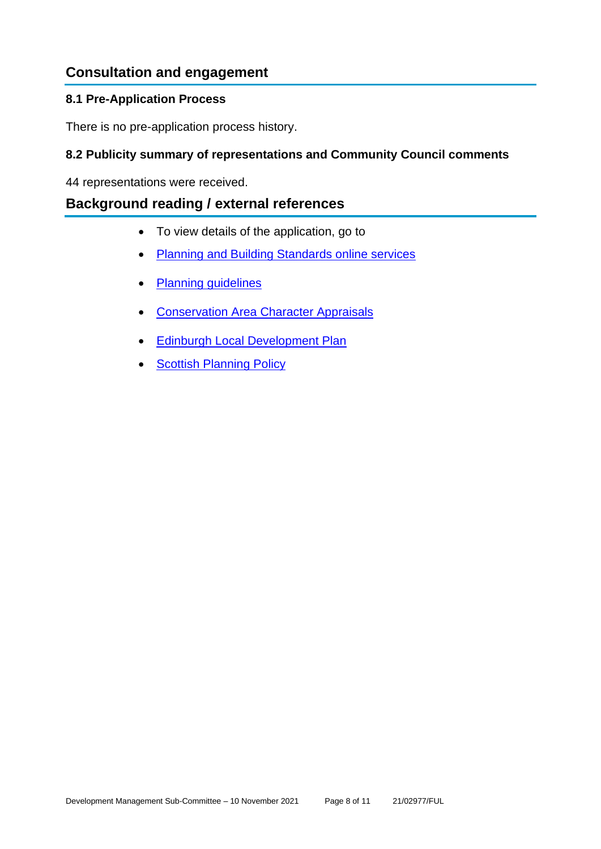# **Consultation and engagement**

# **8.1 Pre-Application Process**

There is no pre-application process history.

# **8.2 Publicity summary of representations and Community Council comments**

44 representations were received.

# **Background reading / external references**

- To view details of the application, go to
- [Planning and Building Standards online services](https://citydev-portal.edinburgh.gov.uk/idoxpa-web/search.do?action=simple&searchType=Application)
- [Planning guidelines](http://www.edinburgh.gov.uk/planningguidelines)
- [Conservation Area Character Appraisals](http://www.edinburgh.gov.uk/characterappraisals)
- [Edinburgh Local Development Plan](http://www.edinburgh.gov.uk/localdevelopmentplan)
- [Scottish Planning Policy](http://www.scotland.gov.uk/Topics/Built-Environment/planning/Policy)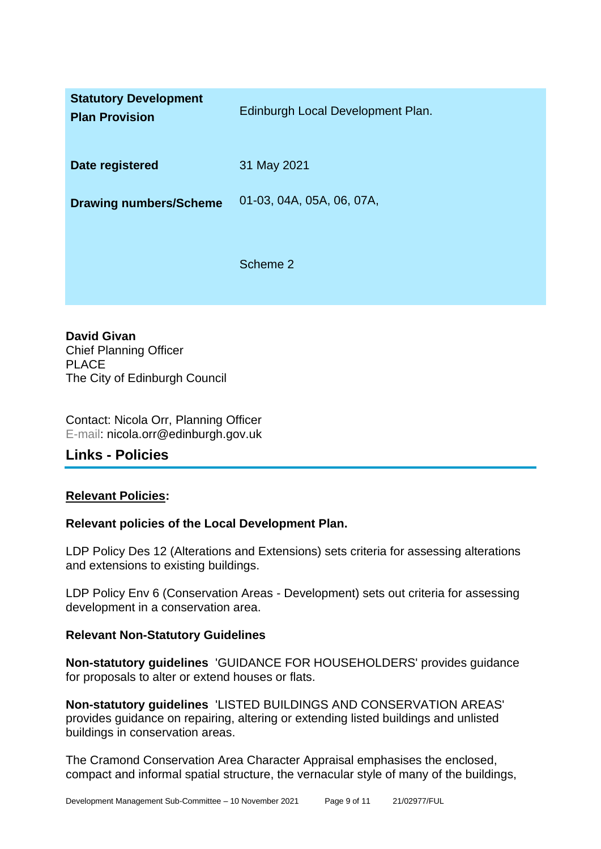| <b>Statutory Development</b><br><b>Plan Provision</b> | Edinburgh Local Development Plan. |
|-------------------------------------------------------|-----------------------------------|
| Date registered                                       | 31 May 2021                       |
| <b>Drawing numbers/Scheme</b>                         | 01-03, 04A, 05A, 06, 07A,         |
|                                                       | Scheme 2                          |

**David Givan** Chief Planning Officer PLACE The City of Edinburgh Council

Contact: Nicola Orr, Planning Officer E-mail: nicola.orr@edinburgh.gov.uk

**Links - Policies**

# **Relevant Policies:**

## **Relevant policies of the Local Development Plan.**

LDP Policy Des 12 (Alterations and Extensions) sets criteria for assessing alterations and extensions to existing buildings.

LDP Policy Env 6 (Conservation Areas - Development) sets out criteria for assessing development in a conservation area.

## **Relevant Non-Statutory Guidelines**

**Non-statutory guidelines** 'GUIDANCE FOR HOUSEHOLDERS' provides guidance for proposals to alter or extend houses or flats.

**Non-statutory guidelines** 'LISTED BUILDINGS AND CONSERVATION AREAS' provides guidance on repairing, altering or extending listed buildings and unlisted buildings in conservation areas.

The Cramond Conservation Area Character Appraisal emphasises the enclosed, compact and informal spatial structure, the vernacular style of many of the buildings,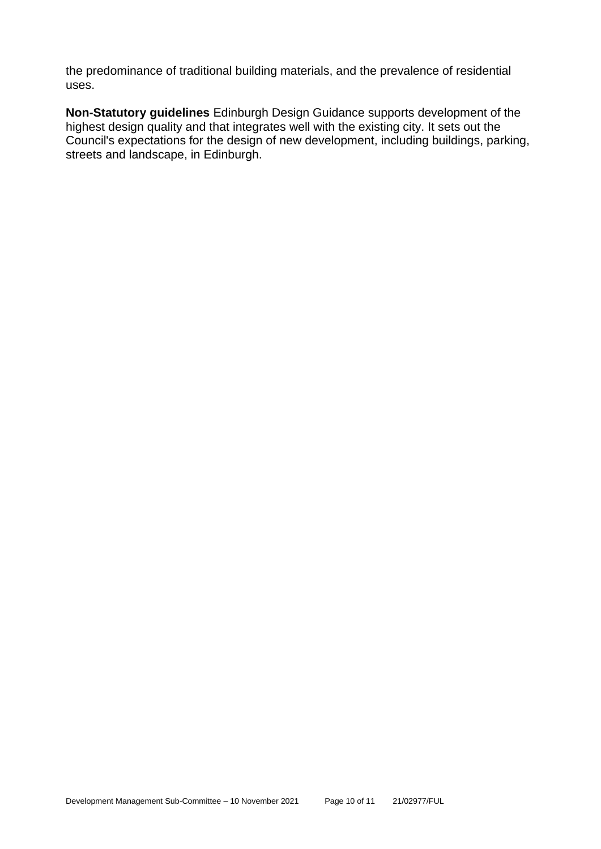the predominance of traditional building materials, and the prevalence of residential uses.

**Non-Statutory guidelines** Edinburgh Design Guidance supports development of the highest design quality and that integrates well with the existing city. It sets out the Council's expectations for the design of new development, including buildings, parking, streets and landscape, in Edinburgh.